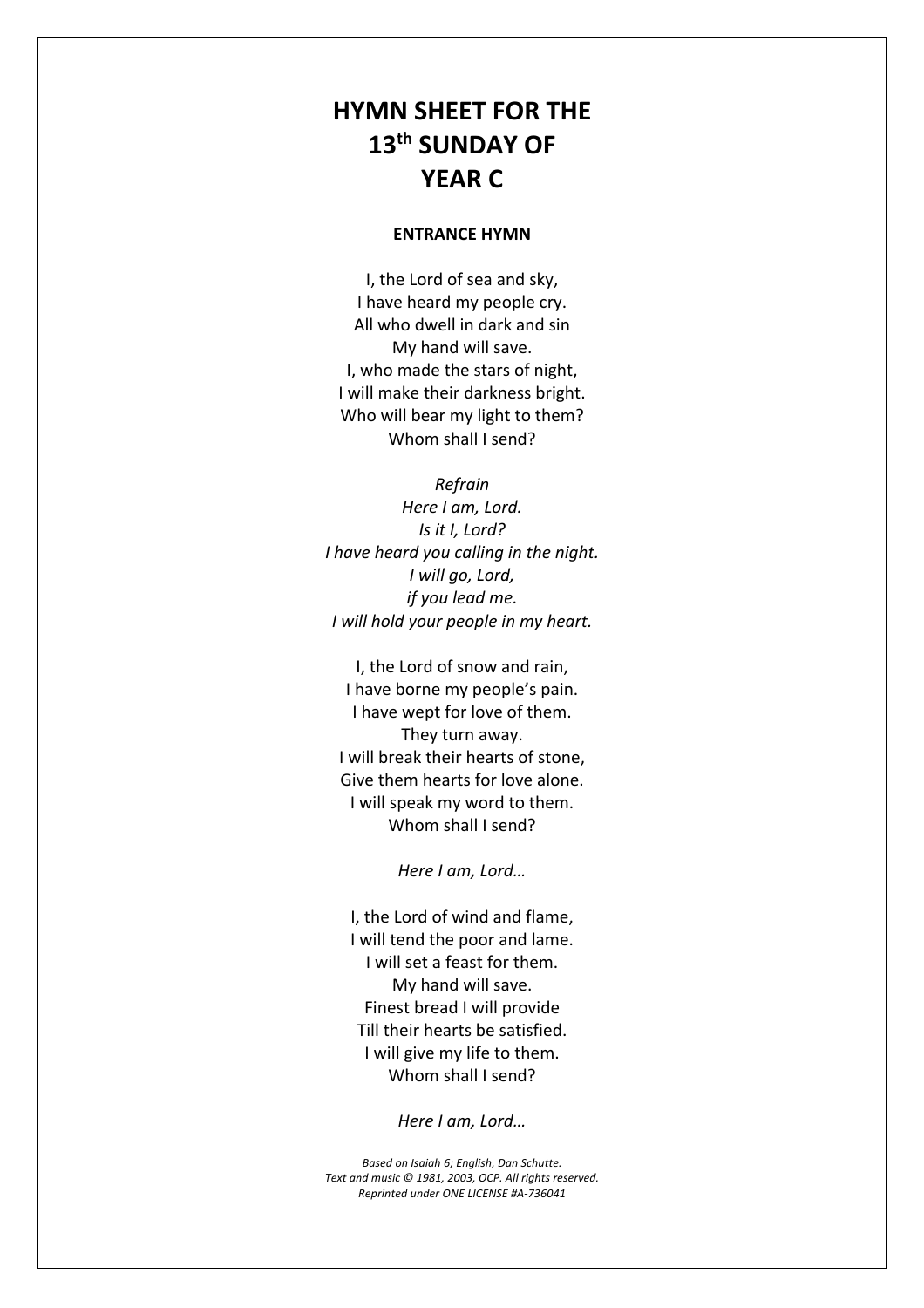# **HYMN SHEET FOR THE 13th SUNDAY OF YEAR C**

## **ENTRANCE HYMN**

I, the Lord of sea and sky, I have heard my people cry. All who dwell in dark and sin My hand will save. I, who made the stars of night, I will make their darkness bright. Who will bear my light to them? Whom shall I send?

*Refrain Here I am, Lord. Is it I, Lord? I have heard you calling in the night. I will go, Lord, if you lead me. I will hold your people in my heart.*

I, the Lord of snow and rain, I have borne my people's pain. I have wept for love of them. They turn away. I will break their hearts of stone, Give them hearts for love alone. I will speak my word to them. Whom shall I send?

*Here I am, Lord…*

I, the Lord of wind and flame, I will tend the poor and lame. I will set a feast for them. My hand will save. Finest bread I will provide Till their hearts be satisfied. I will give my life to them. Whom shall I send?

*Here I am, Lord…*

*Based on Isaiah 6; English, Dan Schutte. Text and music © 1981, 2003, OCP. All rights reserved. Reprinted under ONE LICENSE #A-736041*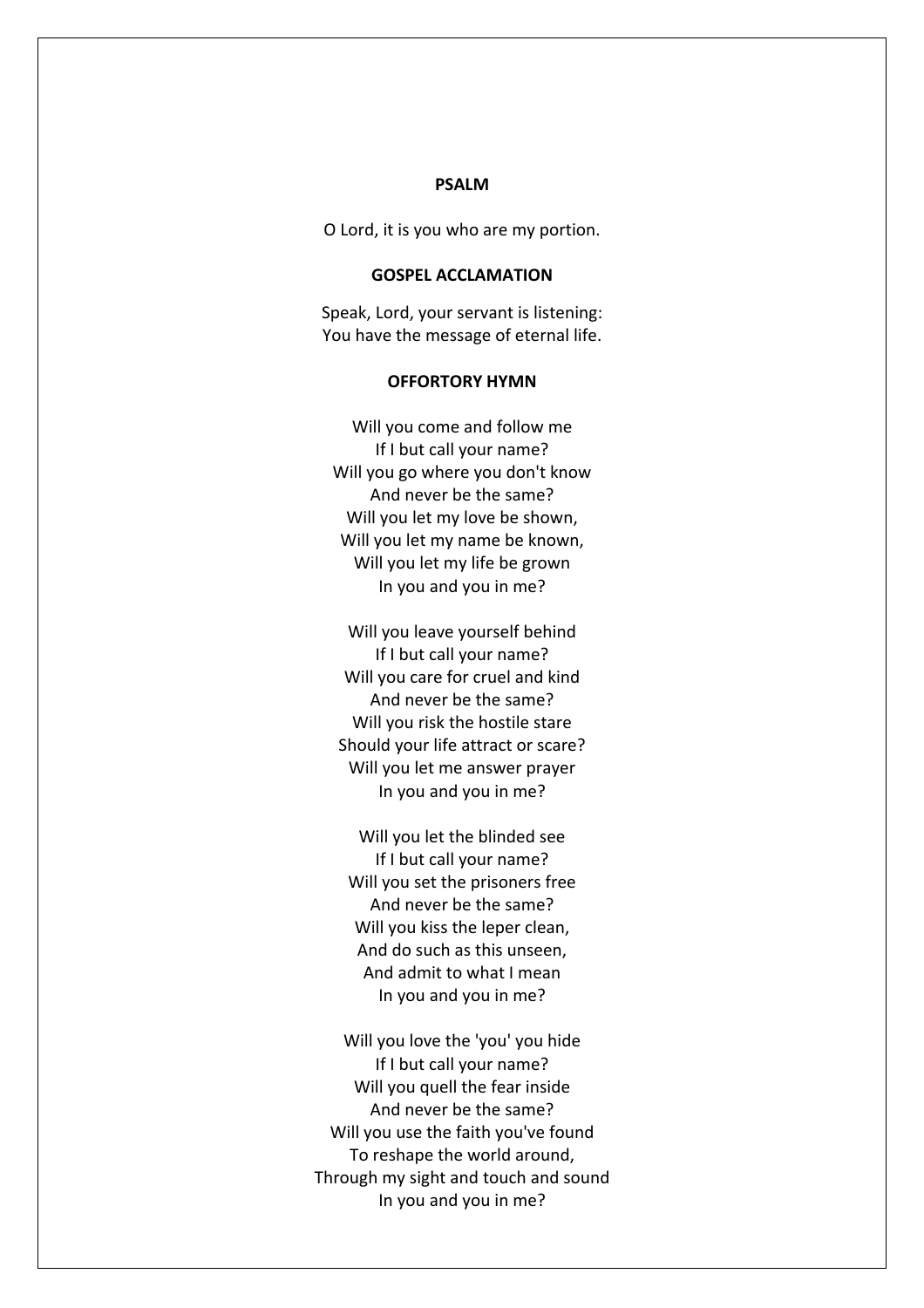#### **PSALM**

O Lord, it is you who are my portion.

#### **GOSPEL ACCLAMATION**

Speak, Lord, your servant is listening: You have the message of eternal life.

### **OFFORTORY HYMN**

Will you come and follow me If I but call your name? Will you go where you don't know And never be the same? Will you let my love be shown, Will you let my name be known, Will you let my life be grown In you and you in me?

Will you leave yourself behind If I but call your name? Will you care for cruel and kind And never be the same? Will you risk the hostile stare Should your life attract or scare? Will you let me answer prayer In you and you in me?

Will you let the blinded see If I but call your name? Will you set the prisoners free And never be the same? Will you kiss the leper clean. And do such as this unseen, And admit to what I mean In you and you in me?

Will you love the 'you' you hide If I but call your name? Will you quell the fear inside And never be the same? Will you use the faith you've found To reshape the world around, Through my sight and touch and sound In you and you in me?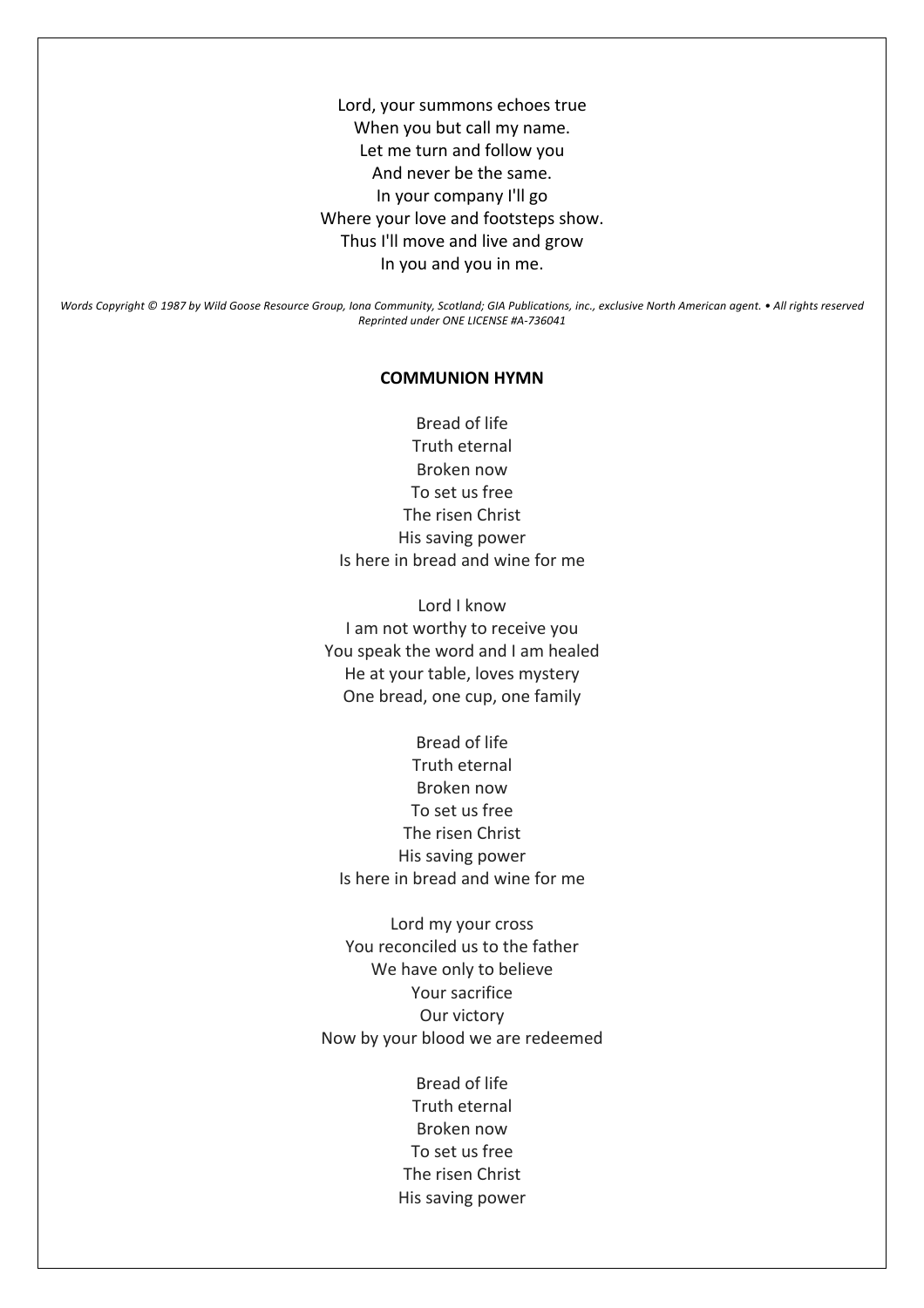Lord, your summons echoes true When you but call my name. Let me turn and follow you And never be the same. In your company I'll go Where your love and footsteps show. Thus I'll move and live and grow In you and you in me.

*Words Copyright © 1987 by Wild Goose Resource Group, Iona Community, Scotland; GIA Publications, inc., exclusive North American agent. • All rights reserved Reprinted under ONE LICENSE #A-736041*

#### **COMMUNION HYMN**

Bread of life Truth eternal Broken now To set us free The risen Christ His saving power Is here in bread and wine for me

Lord I know I am not worthy to receive you You speak the word and I am healed He at your table, loves mystery One bread, one cup, one family

Bread of life Truth eternal Broken now To set us free The risen Christ His saving power Is here in bread and wine for me

Lord my your cross You reconciled us to the father We have only to believe Your sacrifice Our victory Now by your blood we are redeemed

> Bread of life Truth eternal Broken now To set us free The risen Christ His saving power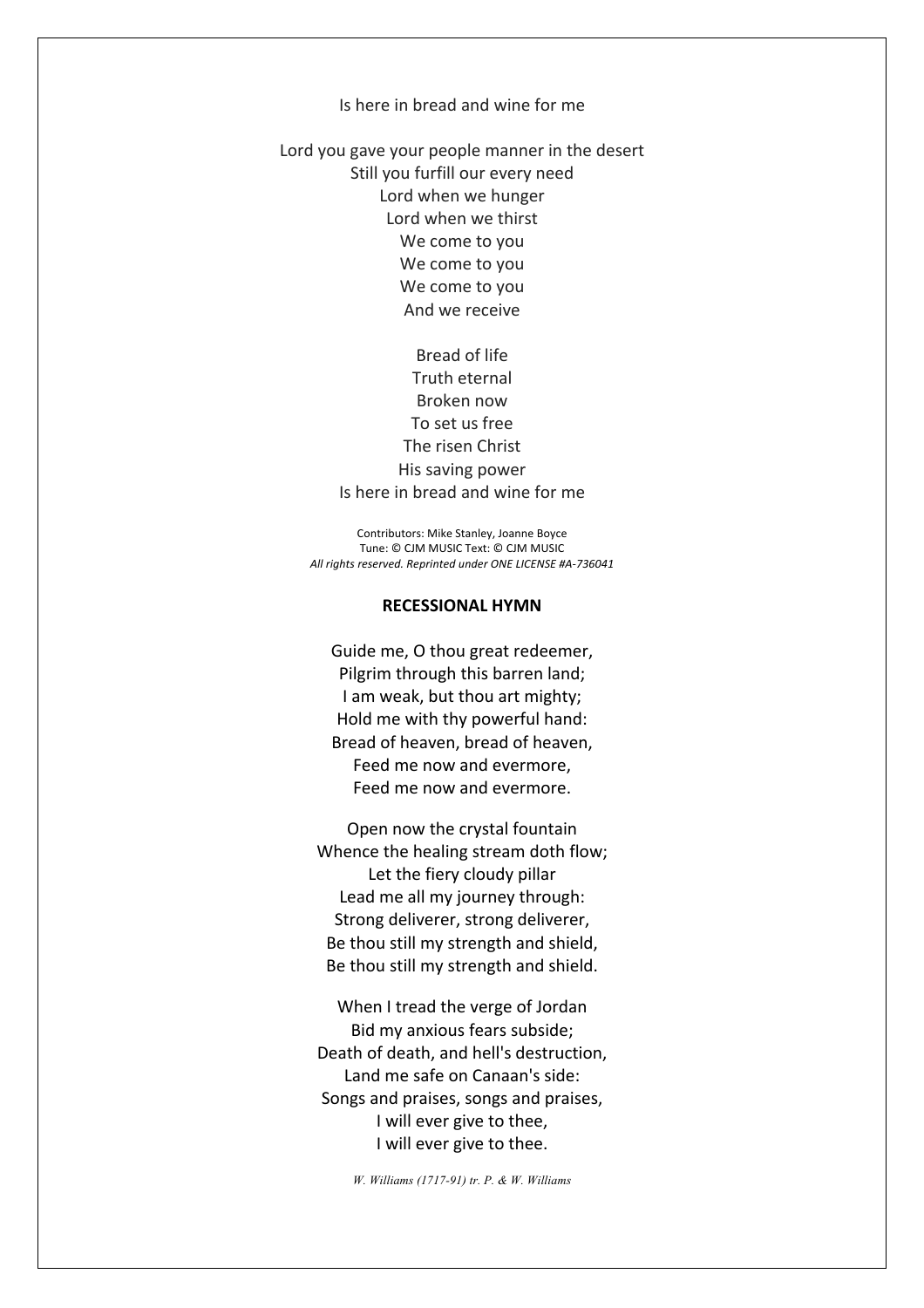Is here in bread and wine for me

Lord you gave your people manner in the desert Still you furfill our every need Lord when we hunger Lord when we thirst We come to you We come to you We come to you And we receive

> Bread of life Truth eternal Broken now To set us free The risen Christ His saving power Is here in bread and wine for me

Contributors: Mike Stanley, Joanne Boyce Tune: © CJM MUSIC Text: © CJM MUSIC *All rights reserved. Reprinted under ONE LICENSE #A-736041*

#### **RECESSIONAL HYMN**

Guide me, O thou great redeemer, Pilgrim through this barren land; I am weak, but thou art mighty; Hold me with thy powerful hand: Bread of heaven, bread of heaven, Feed me now and evermore, Feed me now and evermore.

Open now the crystal fountain Whence the healing stream doth flow; Let the fiery cloudy pillar Lead me all my journey through: Strong deliverer, strong deliverer, Be thou still my strength and shield, Be thou still my strength and shield.

When I tread the verge of Jordan Bid my anxious fears subside; Death of death, and hell's destruction, Land me safe on Canaan's side: Songs and praises, songs and praises, I will ever give to thee, I will ever give to thee.

*W. Williams (1717-91) tr. P. & W. Williams*